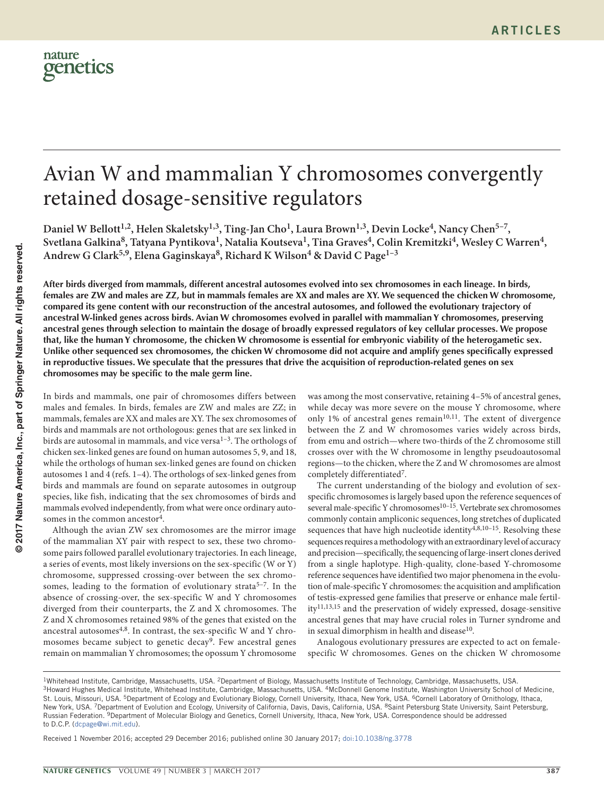# Avian W and mammalian Y chromosomes convergently retained dosage-sensitive regulators

Daniel W Bellott<sup>1,2</sup>, Helen Skaletsky<sup>1,3</sup>, Ting-Jan Cho<sup>1</sup>, Laura Brown<sup>1,3</sup>, Devin Locke<sup>4</sup>, Nancy Chen<sup>5-7</sup>, Svetlana Galkina<sup>8</sup>, Tatyana Pyntikova<sup>1</sup>, Natalia Koutseva<sup>1</sup>, Tina Graves<sup>4</sup>, Colin Kremitzki<sup>4</sup>, Wesley C Warren<sup>4</sup>, **Andrew G Clark5,9, Elena Gaginskaya8, Richard K Wilson4 & David C Page1–3**

After birds diverged from mammals, different ancestral autosomes evolved into sex chromosomes in each lineage. In birds, females are ZW and males are ZZ, but in mammals females are XX and males are XY. We sequenced the chicken W chromosome, compared its gene content with our reconstruction of the ancestral autosomes, and followed the evolutionary trajectory of ancestral W-linked genes across birds. Avian W chromosomes evolved in parallel with mammalian Y chromosomes, preserving ancestral genes through selection to maintain the dosage of broadly expressed regulators of key cellular processes. We propose that, like the human Y chromosome, the chicken W chromosome is essential for embryonic viability of the heterogametic sex. Unlike other sequenced sex chromosomes, the chicken W chromosome did not acquire and amplify genes specifically expressed in reproductive tissues. We speculate that the pressures that drive the acquisition of reproduction-related genes on sex **chromosomes may be specific to the male germ line.**

In birds and mammals, one pair of chromosomes differs between males and females. In birds, females are ZW and males are ZZ; in mammals, females are XX and males are XY. The sex chromosomes of birds and mammals are not orthologous: genes that are sex linked in birds are autosomal in mammals, and vice versa $1-3$ . The orthologs of chicken sex-linked genes are found on human autosomes 5, 9, and 18, while the orthologs of human sex-linked genes are found on chicken autosomes 1 and 4 (refs. [1–](#page-6-0)[4\)](#page-6-2). The orthologs of sex-linked genes from birds and mammals are found on separate autosomes in outgroup species, like fish, indicating that the sex chromosomes of birds and mammals evolved independently, from what were once ordinary autosomes in the common ancestor<sup>4</sup>.

Although the avian ZW sex chromosomes are the mirror image of the mammalian XY pair with respect to sex, these two chromosome pairs followed parallel evolutionary trajectories. In each lineage, a series of events, most likely inversions on the sex-specific (W or Y) chromosome, suppressed crossing-over between the sex chromo-somes, leading to the formation of evolutionary strata<sup>5-[7](#page-6-4)</sup>. In the absence of crossing-over, the sex-specific W and Y chromosomes diverged from their counterparts, the Z and X chromosomes. The Z and X chromosomes retained 98% of the genes that existed on the ancestral autosomes[4,](#page-6-2)[8.](#page-6-5) In contrast, the sex-specific W and Y chromosomes became subject to genetic decay[9](#page-6-6). Few ancestral genes remain on mammalian Y chromosomes; the opossum Y chromosome

was among the most conservative, retaining 4–5% of ancestral genes, while decay was more severe on the mouse Y chromosome, where only 1% of ancestral genes remain $10,11$  $10,11$ . The extent of divergence between the Z and W chromosomes varies widely across birds, from emu and ostrich—where two-thirds of the Z chromosome still crosses over with the W chromosome in lengthy pseudoautosomal regions—to the chicken, where the Z and W chromosomes are almost completely differentiated[7](#page-6-4).

The current understanding of the biology and evolution of sexspecific chromosomes is largely based upon the reference sequences of several male-specific Y chromosomes<sup>10–[15](#page-6-9)</sup>. Vertebrate sex chromosomes commonly contain ampliconic sequences, long stretches of duplicated sequences that have high nucleotide identity $4,8,10-15$  $4,8,10-15$  $4,8,10-15$  $4,8,10-15$ . Resolving these sequences requires a methodology with an extraordinary level of accuracy and precision—specifically, the sequencing of large-insert clones derived from a single haplotype. High-quality, clone-based Y-chromosome reference sequences have identified two major phenomena in the evolution of male-specific Y chromosomes: the acquisition and amplification of testis-expressed gene families that preserve or enhance male fertility[11,](#page-6-8)[13,](#page-6-10)[15](#page-6-9) and the preservation of widely expressed, dosage-sensitive ancestral genes that may have crucial roles in Turner syndrome and in sexual dimorphism in health and disease<sup>10</sup>.

Analogous evolutionary pressures are expected to act on femalespecific W chromosomes. Genes on the chicken W chromosome

Received 1 November 2016; accepted 29 December 2016; published online 30 January 2017; [doi:10.1038/ng.3778](http://dx.doi.org/10.1038/ng.3778)

<sup>&</sup>lt;sup>1</sup>Whitehead Institute, Cambridge, Massachusetts, USA. <sup>2</sup>Department of Biology, Massachusetts Institute of Technology, Cambridge, Massachusetts, USA.<br><sup>3</sup>Howard Hughes Medical Institute, Whitehead Institute, Cambridge, Mas St. Louis, Missouri, USA. <sup>5</sup>Department of Ecology and Evolutionary Biology, Cornell University, Ithaca, New York, USA. <sup>6</sup>Cornell Laboratory of Ornithology, Ithaca, New York, USA. <sup>7</sup>Department of Evolution and Ecology, University of California, Davis, Davis, California, USA. <sup>8</sup>Saint Petersburg State University, Saint Petersburg, Russian Federation. 9Department of Molecular Biology and Genetics, Cornell University, Ithaca, New York, USA. Correspondence should be addressed to D.C.P. (dcpage@wi.mit.edu).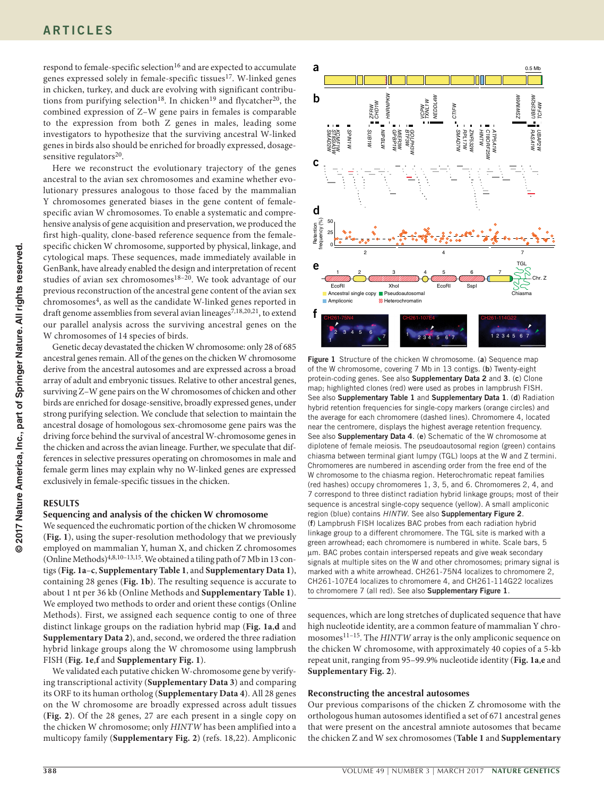respond to female-specific selection<sup>16</sup> and are expected to accumulate genes expressed solely in female-specific tissues<sup>[17](#page-6-12)</sup>. W-linked genes in chicken, turkey, and duck are evolving with significant contributions from purifying selection<sup>18</sup>. In chicken<sup>19</sup> and flycatcher<sup>20</sup>, the combined expression of Z–W gene pairs in females is comparable to the expression from both Z genes in males, leading some investigators to hypothesize that the surviving ancestral W-linked genes in birds also should be enriched for broadly expressed, dosagesensitive regulators<sup>20</sup>.

Here we reconstruct the evolutionary trajectory of the genes ancestral to the avian sex chromosomes and examine whether evolutionary pressures analogous to those faced by the mammalian Y chromosomes generated biases in the gene content of femalespecific avian W chromosomes. To enable a systematic and comprehensive analysis of gene acquisition and preservation, we produced the first high-quality, clone-based reference sequence from the femalespecific chicken W chromosome, supported by physical, linkage, and cytological maps. These sequences, made immediately available in GenBank, have already enabled the design and interpretation of recent studies of avian sex chromosomes $18-20$  $18-20$ . We took advantage of our previous reconstruction of the ancestral gene content of the avian sex chromosomes[4,](#page-6-2) as well as the candidate W-linked genes reported in draft genome assemblies from several avian lineages<sup>7,[18,](#page-6-13)[20,](#page-6-15)[21](#page-6-16)</sup>, to extend our parallel analysis across the surviving ancestral genes on the W chromosomes of 14 species of birds.

Genetic decay devastated the chicken W chromosome: only 28 of 685 ancestral genes remain. All of the genes on the chicken W chromosome derive from the ancestral autosomes and are expressed across a broad array of adult and embryonic tissues. Relative to other ancestral genes, surviving Z–W gene pairs on the W chromosomes of chicken and other birds are enriched for dosage-sensitive, broadly expressed genes, under strong purifying selection. We conclude that selection to maintain the ancestral dosage of homologous sex-chromosome gene pairs was the driving force behind the survival of ancestral W-chromosome genes in the chicken and across the avian lineage. Further, we speculate that differences in selective pressures operating on chromosomes in male and female germ lines may explain why no W-linked genes are expressed exclusively in female-specific tissues in the chicken.

## **RESULTS**

# **Sequencing and analysis of the chicken W chromosome**

We sequenced the euchromatic portion of the chicken W chromosome (**[Fig. 1](#page-1-0)**), using the super-resolution methodology that we previously employed on mammalian Y, human X, and chicken Z chromosomes (Online Methods)[4,](#page-6-2)[8,](#page-6-5)[10–](#page-6-7)[13,](#page-6-10)[15.](#page-6-9) We obtained a tiling path of 7 Mb in 13 contigs (**[Fig. 1a](#page-1-0)**–**c**, **Supplementary Table 1**, and **Supplementary Data 1**), containing 28 genes (**[Fig. 1b](#page-1-0)**). The resulting sequence is accurate to about 1 nt per 36 kb (Online Methods and **Supplementary Table 1**). We employed two methods to order and orient these contigs (Online Methods). First, we assigned each sequence contig to one of three distinct linkage groups on the radiation hybrid map (**[Fig. 1a](#page-1-0)**,**d** and **Supplementary Data 2**), and, second, we ordered the three radiation hybrid linkage groups along the W chromosome using lampbrush FISH (**[Fig. 1e](#page-1-0)**,**f** and **Supplementary Fig. 1**).

We validated each putative chicken W-chromosome gene by verifying transcriptional activity (**Supplementary Data 3**) and comparing its ORF to its human ortholog (**Supplementary Data 4**). All 28 genes on the W chromosome are broadly expressed across adult tissues (**[Fig. 2](#page-2-0)**). Of the 28 genes, 27 are each present in a single copy on the chicken W chromosome; only *HINTW* has been amplified into a multicopy family (**Supplementary Fig. 2**) (refs. [18,](#page-6-13)[22](#page-6-17)). Ampliconic



<span id="page-1-0"></span>Figure 1 Structure of the chicken W chromosome. (a) Sequence map of the W chromosome, covering 7 Mb in 13 contigs. (b) Twenty-eight protein-coding genes. See also Supplementary Data 2 and 3. (c) Clone map; highlighted clones (red) were used as probes in lampbrush FISH. See also Supplementary Table 1 and Supplementary Data 1. (d) Radiation hybrid retention frequencies for single-copy markers (orange circles) and the average for each chromomere (dashed lines). Chromomere 4, located near the centromere, displays the highest average retention frequency. See also Supplementary Data 4. (e) Schematic of the W chromosome at diplotene of female meiosis. The pseudoautosomal region (green) contains chiasma between terminal giant lumpy (TGL) loops at the W and Z termini. Chromomeres are numbered in ascending order from the free end of the W chromosome to the chiasma region. Heterochromatic repeat families (red hashes) occupy chromomeres 1, 3, 5, and 6. Chromomeres 2, 4, and 7 correspond to three distinct radiation hybrid linkage groups; most of their sequence is ancestral single-copy sequence (yellow). A small ampliconic region (blue) contains *HINTW*. See also Supplementary Figure 2. (f) Lampbrush FISH localizes BAC probes from each radiation hybrid linkage group to a different chromomere. The TGL site is marked with a green arrowhead; each chromomere is numbered in white. Scale bars, 5 µm. BAC probes contain interspersed repeats and give weak secondary signals at multiple sites on the W and other chromosomes; primary signal is marked with a white arrowhead. CH261-75N4 localizes to chromomere 2, CH261-107E4 localizes to chromomere 4, and CH261-114G22 localizes to chromomere 7 (all red). See also Supplementary Figure 1.

sequences, which are long stretches of duplicated sequence that have high nucleotide identity, are a common feature of mammalian Y chromosomes[11–](#page-6-8)[15.](#page-6-9) The *HINTW* array is the only ampliconic sequence on the chicken W chromosome, with approximately 40 copies of a 5-kb repeat unit, ranging from 95–99.9% nucleotide identity (**[Fig. 1a](#page-1-0)**,**e** and **Supplementary Fig. 2**).

# **Reconstructing the ancestral autosomes**

Our previous comparisons of the chicken Z chromosome with the orthologous human autosomes identified a set of 671 ancestral genes that were present on the ancestral amniote autosomes that became the chicken Z and W sex chromosomes (**[Table 1](#page-2-1)** and **Supplementary**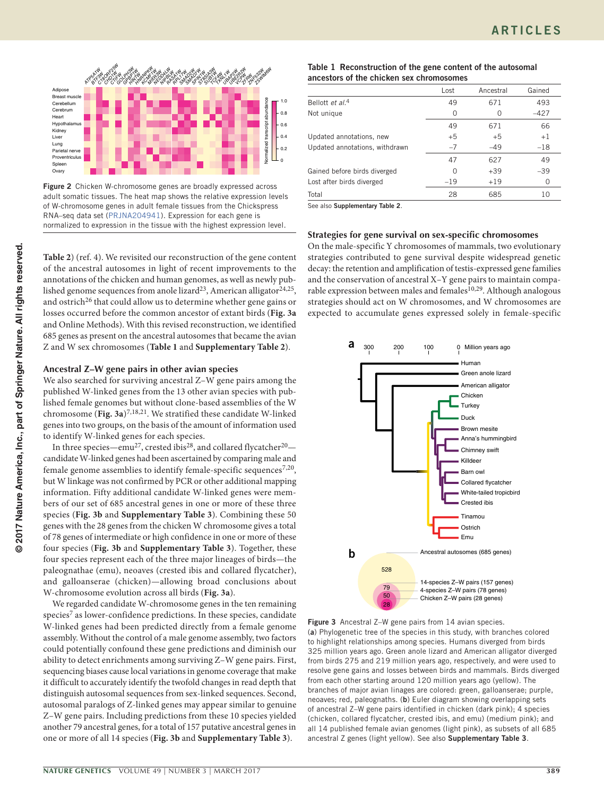

<span id="page-2-0"></span>Figure 2 Chicken W-chromosome genes are broadly expressed across adult somatic tissues. The heat map shows the relative expression levels of W-chromosome genes in adult female tissues from the Chickspress RNA–seq data set ([PRJNA204941](https://www.ncbi.nlm.nih.gov/bioproject/?term=PRJNA204941)). Expression for each gene is normalized to expression in the tissue with the highest expression level.

**Table 2**) (ref. [4](#page-6-2)). We revisited our reconstruction of the gene content of the ancestral autosomes in light of recent improvements to the annotations of the chicken and human genomes, as well as newly pub-lished genome sequences from anole lizard<sup>23</sup>, American alligator<sup>[24,](#page-6-19)[25](#page-6-20)</sup>, and ostrich<sup>26</sup> that could allow us to determine whether gene gains or losses occurred before the common ancestor of extant birds (**[Fig. 3a](#page-2-2)** and Online Methods). With this revised reconstruction, we identified 685 genes as present on the ancestral autosomes that became the avian Z and W sex chromosomes (**[Table 1](#page-2-1)** and **Supplementary Table 2**).

# **Ancestral Z–W gene pairs in other avian species**

We also searched for surviving ancestral Z–W gene pairs among the published W-linked genes from the 13 other avian species with published female genomes but without clone-based assemblies of the W chromosome (**[Fig. 3a](#page-2-2)**)[7,](#page-6-4)[18,](#page-6-13)[21.](#page-6-16) We stratified these candidate W-linked genes into two groups, on the basis of the amount of information used to identify W-linked genes for each species.

In three species—emu<sup>27</sup>, crested ibis<sup>28</sup>, and collared flycatcher<sup>20</sup> candidate W-linked genes had been ascertained by comparing male and female genome assemblies to identify female-specific sequences<sup>[7,](#page-6-4)[20](#page-6-15)</sup>, but W linkage was not confirmed by PCR or other additional mapping information. Fifty additional candidate W-linked genes were members of our set of 685 ancestral genes in one or more of these three species (**[Fig. 3b](#page-2-2)** and **Supplementary Table 3**). Combining these 50 genes with the 28 genes from the chicken W chromosome gives a total of 78 genes of intermediate or high confidence in one or more of these four species (**[Fig. 3b](#page-2-2)** and **Supplementary Table 3**). Together, these four species represent each of the three major lineages of birds—the paleognathae (emu), neoaves (crested ibis and collared flycatcher), and galloanserae (chicken)—allowing broad conclusions about W-chromosome evolution across all birds (**[Fig. 3a](#page-2-2)**).

We regarded candidate W-chromosome genes in the ten remaining species<sup>7</sup> as lower-confidence predictions. In these species, candidate W-linked genes had been predicted directly from a female genome assembly. Without the control of a male genome assembly, two factors could potentially confound these gene predictions and diminish our ability to detect enrichments among surviving Z–W gene pairs. First, sequencing biases cause local variations in genome coverage that make it difficult to accurately identify the twofold changes in read depth that distinguish autosomal sequences from sex-linked sequences. Second, autosomal paralogs of Z-linked genes may appear similar to genuine Z–W gene pairs. Including predictions from these 10 species yielded another 79 ancestral genes, for a total of 157 putative ancestral genes in one or more of all 14 species (**[Fig. 3b](#page-2-2)** and **Supplementary Table 3**).

## <span id="page-2-1"></span>Table 1 Reconstruction of the gene content of the autosomal ancestors of the chicken sex chromosomes

|                                | Lost  | Ancestral | Gained |
|--------------------------------|-------|-----------|--------|
| Bellott et al. <sup>4</sup>    | 49    | 671       | 493    |
| Not unique                     | 0     | 0         | $-427$ |
|                                | 49    | 671       | 66     |
| Updated annotations, new       | $+5$  | $+5$      | $+1$   |
| Updated annotations, withdrawn | $-7$  | $-49$     | $-18$  |
|                                | 47    | 627       | 49     |
| Gained before birds diverged   | 0     | $+39$     | $-39$  |
| Lost after birds diverged      | $-19$ | $+19$     | 0      |
| Total                          | 28    | 685       | 10     |

See also Supplementary Table 2.

# **Strategies for gene survival on sex-specific chromosomes**

On the male-specific Y chromosomes of mammals, two evolutionary strategies contributed to gene survival despite widespread genetic decay: the retention and amplification of testis-expressed gene families and the conservation of ancestral X–Y gene pairs to maintain compa-rable expression between males and females<sup>[10,](#page-6-7)29</sup>. Although analogous strategies should act on W chromosomes, and W chromosomes are expected to accumulate genes expressed solely in female-specific



<span id="page-2-2"></span>Figure 3 Ancestral Z-W gene pairs from 14 avian species. (a) Phylogenetic tree of the species in this study, with branches colored to highlight relationships among species. Humans diverged from birds 325 million years ago. Green anole lizard and American alligator diverged from birds 275 and 219 million years ago, respectively, and were used to resolve gene gains and losses between birds and mammals. Birds diverged from each other starting around 120 million years ago (yellow). The branches of major avian linages are colored: green, galloanserae; purple, neoaves; red, paleognaths. (b) Euler diagram showing overlapping sets of ancestral Z–W gene pairs identified in chicken (dark pink); 4 species (chicken, collared flycatcher, crested ibis, and emu) (medium pink); and all 14 published female avian genomes (light pink), as subsets of all 685 ancestral Z genes (light yellow). See also Supplementary Table 3.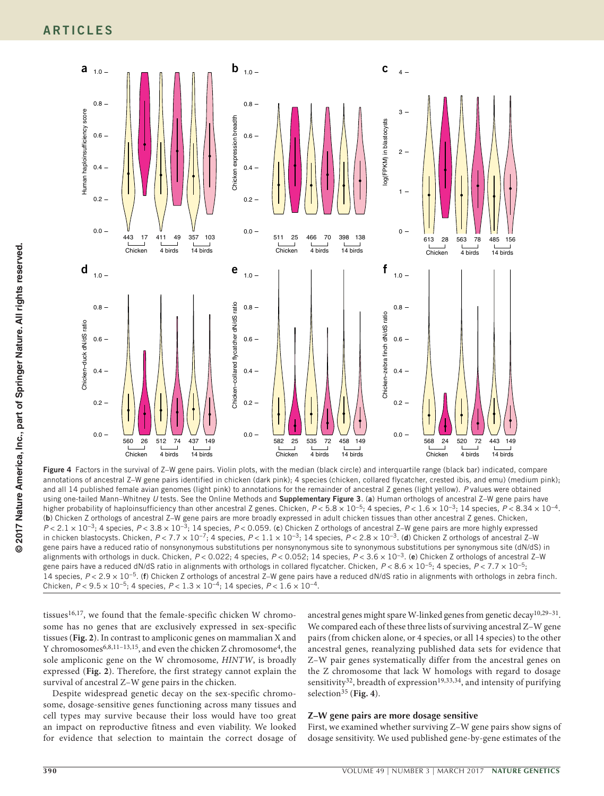# **ARTICLES**



<span id="page-3-0"></span>Figure 4 Factors in the survival of Z–W gene pairs. Violin plots, with the median (black circle) and interquartile range (black bar) indicated, compare annotations of ancestral Z-W gene pairs identified in chicken (dark pink); 4 species (chicken, collared flycatcher, crested ibis, and emu) (medium pink); and all 14 published female avian genomes (light pink) to annotations for the remainder of ancestral Z genes (light yellow). *P* values were obtained using one-tailed Mann–Whitney *U* tests. See the Online Methods and **Supplementary Figure 3**. (a) Human orthologs of ancestral Z–W gene pairs have higher probability of haploinsufficiency than other ancestral Z genes. Chicken, *P* < 5.8 × 10−5; 4 species, *P* < 1.6 × 10−3; 14 species, *P* < 8.34 × 10−4. (b) Chicken Z orthologs of ancestral Z–W gene pairs are more broadly expressed in adult chicken tissues than other ancestral Z genes. Chicken, *P* < 2.1 × 10<sup>-3</sup>; 4 species, *P* < 3.8 × 10<sup>-3</sup>; 14 species, *P* < 0.059. (c) Chicken Z orthologs of ancestral Z–W gene pairs are more highly expressed in chicken blastocysts. Chicken, *P* < 7.7 × 10−7; 4 species, *P* < 1.1 × 10−3; 14 species, *P* < 2.8 × 10−3. (d) Chicken Z orthologs of ancestral Z–W gene pairs have a reduced ratio of nonsynonymous substitutions per nonsynonymous site to synonymous substitutions per synonymous site (dN/dS) in alignments with orthologs in duck. Chicken, *P* < 0.022; 4 species, *P* < 0.052; 14 species, *P* < 3.6 × 10−3. (e) Chicken Z orthologs of ancestral Z–W gene pairs have a reduced dN/dS ratio in alignments with orthologs in collared flycatcher. Chicken, *P* < 8.6 × 10−5; 4 species, *P* < 7.7 × 10−5; 14 species, *P* < 2.9 × 10−5. (f) Chicken Z orthologs of ancestral Z–W gene pairs have a reduced dN/dS ratio in alignments with orthologs in zebra finch.

tissues $16,17$  $16,17$ , we found that the female-specific chicken W chromosome has no genes that are exclusively expressed in sex-specific tissues (**[Fig. 2](#page-2-0)**). In contrast to ampliconic genes on mammalian X and Y chromosomes<sup>[6,](#page-6-25)[8,](#page-6-5)11-[13,](#page-6-10)[15](#page-6-9)</sup>, and even the chicken Z chromosome<sup>4</sup>, the sole ampliconic gene on the W chromosome, *HINTW*, is broadly expressed (**[Fig. 2](#page-2-0)**). Therefore, the first strategy cannot explain the survival of ancestral Z–W gene pairs in the chicken.

Despite widespread genetic decay on the sex-specific chromosome, dosage-sensitive genes functioning across many tissues and cell types may survive because their loss would have too great an impact on reproductive fitness and even viability. We looked for evidence that selection to maintain the correct dosage of

ancestral genes might spare W-linked genes from genetic decay[10,](#page-6-7)[29–](#page-6-24)[31](#page-6-26). We compared each of these three lists of surviving ancestral Z–W gene pairs (from chicken alone, or 4 species, or all 14 species) to the other ancestral genes, reanalyzing published data sets for evidence that Z–W pair genes systematically differ from the ancestral genes on the Z chromosome that lack W homologs with regard to dosage sensitivity<sup>32</sup>, breadth of expression<sup>19,[33,](#page-6-28)34</sup>, and intensity of purifying selection<sup>[35](#page-6-30)</sup> ([Fig. 4](#page-3-0)).

# **Z–W gene pairs are more dosage sensitive**

First, we examined whether surviving Z–W gene pairs show signs of dosage sensitivity. We used published gene-by-gene estimates of the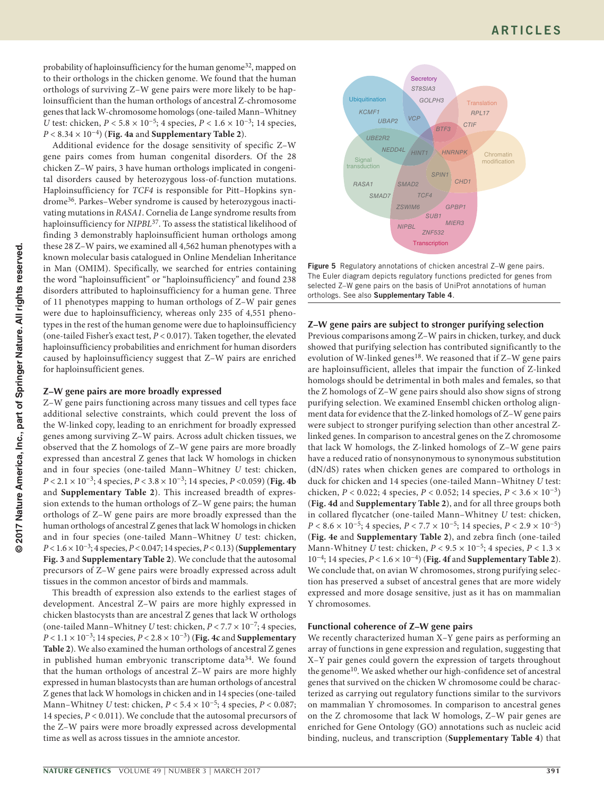probability of haploinsufficiency for the human genome<sup>[32](#page-6-27)</sup>, mapped on to their orthologs in the chicken genome. We found that the human orthologs of surviving Z–W gene pairs were more likely to be haploinsufficient than the human orthologs of ancestral Z-chromosome genes that lack W-chromosome homologs (one-tailed Mann–Whitney *U* test: chicken, *P* < 5.8 × 10<sup>-5</sup>; 4 species, *P* < 1.6 × 10<sup>-3</sup>; 14 species, *P* < 8.34 × 10−4) (**[Fig. 4a](#page-3-0)** and **Supplementary Table 2**).

Additional evidence for the dosage sensitivity of specific Z–W gene pairs comes from human congenital disorders. Of the 28 chicken Z–W pairs, 3 have human orthologs implicated in congenital disorders caused by heterozygous loss-of-function mutations. Haploinsufficiency for *TCF4* is responsible for Pitt–Hopkins syndrome[36](#page-6-31). Parkes–Weber syndrome is caused by heterozygous inactivating mutations in *RASA1*. Cornelia de Lange syndrome results from haploinsufficiency for *NIPBL*[37](#page-6-32). To assess the statistical likelihood of finding 3 demonstrably haploinsufficient human orthologs among these 28 Z–W pairs, we examined all 4,562 human phenotypes with a known molecular basis catalogued in Online Mendelian Inheritance in Man (OMIM). Specifically, we searched for entries containing the word "haploinsufficient" or "haploinsufficiency" and found 238 disorders attributed to haploinsufficiency for a human gene. Three of 11 phenotypes mapping to human orthologs of Z–W pair genes were due to haploinsufficiency, whereas only 235 of 4,551 phenotypes in the rest of the human genome were due to haploinsufficiency (one-tailed Fisher's exact test, *P* < 0.017). Taken together, the elevated haploinsufficiency probabilities and enrichment for human disorders caused by haploinsufficiency suggest that Z–W pairs are enriched for haploinsufficient genes.

# **Z–W gene pairs are more broadly expressed**

Z–W gene pairs functioning across many tissues and cell types face additional selective constraints, which could prevent the loss of the W-linked copy, leading to an enrichment for broadly expressed genes among surviving Z–W pairs. Across adult chicken tissues, we observed that the Z homologs of Z–W gene pairs are more broadly expressed than ancestral Z genes that lack W homologs in chicken and in four species (one-tailed Mann–Whitney *U* test: chicken, *P* < 2.1 × 10−3; 4 species, *P* < 3.8 × 10−3; 14 species, *P* <0.059) (**[Fig. 4b](#page-3-0)** and **Supplementary Table 2**). This increased breadth of expression extends to the human orthologs of Z–W gene pairs; the human orthologs of Z–W gene pairs are more broadly expressed than the human orthologs of ancestral Z genes that lack W homologs in chicken and in four species (one-tailed Mann–Whitney *U* test: chicken, *P* < 1.6 × 10−3; 4 species, *P* < 0.047; 14 species, *P* < 0.13) (**Supplementary Fig. 3** and **Supplementary Table 2**). We conclude that the autosomal precursors of Z–W gene pairs were broadly expressed across adult tissues in the common ancestor of birds and mammals.

This breadth of expression also extends to the earliest stages of development. Ancestral Z–W pairs are more highly expressed in chicken blastocysts than are ancestral Z genes that lack W orthologs (one-tailed Mann–Whitney *U* test: chicken, *P* < 7.7 × 10−7; 4 species, *P* < 1.1 × 10−3; 14 species, *P* < 2.8 × 10−3) (**[Fig. 4c](#page-3-0)** and **Supplementary Table 2**). We also examined the human orthologs of ancestral Z genes in published human embryonic transcriptome data<sup>34</sup>. We found that the human orthologs of ancestral Z–W pairs are more highly expressed in human blastocysts than are human orthologs of ancestral Z genes that lack W homologs in chicken and in 14 species (one-tailed Mann–Whitney *U* test: chicken, *P* < 5.4 × 10−5; 4 species, *P* < 0.087; 14 species, *P* < 0.011). We conclude that the autosomal precursors of the Z–W pairs were more broadly expressed across developmental time as well as across tissues in the amniote ancestor.



<span id="page-4-0"></span>Figure 5 Regulatory annotations of chicken ancestral Z-W gene pairs. The Euler diagram depicts regulatory functions predicted for genes from selected Z–W gene pairs on the basis of UniProt annotations of human orthologs. See also Supplementary Table 4.

# **Z–W gene pairs are subject to stronger purifying selection**

Previous comparisons among Z–W pairs in chicken, turkey, and duck showed that purifying selection has contributed significantly to the evolution of W-linked genes<sup>[18](#page-6-13)</sup>. We reasoned that if  $Z-W$  gene pairs are haploinsufficient, alleles that impair the function of Z-linked homologs should be detrimental in both males and females, so that the Z homologs of Z–W gene pairs should also show signs of strong purifying selection. We examined Ensembl chicken ortholog alignment data for evidence that the Z-linked homologs of Z–W gene pairs were subject to stronger purifying selection than other ancestral Zlinked genes. In comparison to ancestral genes on the Z chromosome that lack W homologs, the Z-linked homologs of Z–W gene pairs have a reduced ratio of nonsynonymous to synonymous substitution (dN/dS) rates when chicken genes are compared to orthologs in duck for chicken and 14 species (one-tailed Mann–Whitney *U* test: chicken, *P* < 0.022; 4 species, *P* < 0.052; 14 species, *P* < 3.6 × 10−3) (**[Fig. 4d](#page-3-0)** and **Supplementary Table 2**), and for all three groups both in collared flycatcher (one-tailed Mann–Whitney *U* test: chicken, *P* < 8.6 × 10<sup>-5</sup>; 4 species, *P* < 7.7 × 10<sup>-5</sup>; 14 species, *P* < 2.9 × 10<sup>-5</sup>) (**[Fig. 4e](#page-3-0)** and **Supplementary Table 2**), and zebra finch (one-tailed Mann-Whitney *U* test: chicken, *P* < 9.5 × 10−5; 4 species, *P* < 1.3 × 10−4; 14 species, *P* < 1.6 × 10−4) (**[Fig. 4f](#page-3-0)** and **Supplementary Table 2**). We conclude that, on avian W chromosomes, strong purifying selection has preserved a subset of ancestral genes that are more widely expressed and more dosage sensitive, just as it has on mammalian Y chromosomes.

## **Functional coherence of Z–W gene pairs**

We recently characterized human X–Y gene pairs as performing an array of functions in gene expression and regulation, suggesting that X–Y pair genes could govern the expression of targets throughout the genome<sup>[10](#page-6-7)</sup>. We asked whether our high-confidence set of ancestral genes that survived on the chicken W chromosome could be characterized as carrying out regulatory functions similar to the survivors on mammalian Y chromosomes. In comparison to ancestral genes on the Z chromosome that lack W homologs, Z–W pair genes are enriched for Gene Ontology (GO) annotations such as nucleic acid binding, nucleus, and transcription (**Supplementary Table 4**) that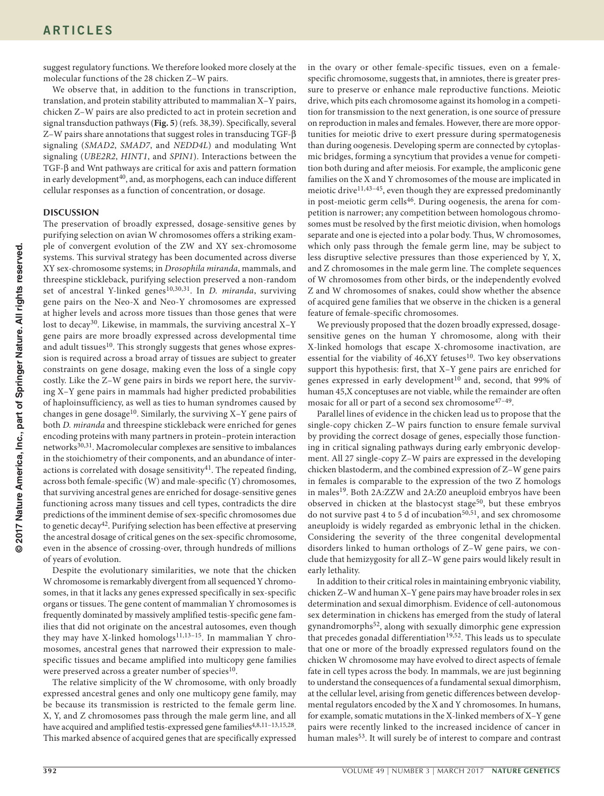suggest regulatory functions. We therefore looked more closely at the molecular functions of the 28 chicken Z–W pairs.

We observe that, in addition to the functions in transcription, translation, and protein stability attributed to mammalian X–Y pairs, chicken Z–W pairs are also predicted to act in protein secretion and signal transduction pathways (**[Fig. 5](#page-4-0)**) (refs. [38,](#page-6-33)[39\)](#page-6-34). Specifically, several Z–W pairs share annotations that suggest roles in transducing TGF-β signaling (*SMAD2*, *SMAD7*, and *NEDD4L*) and modulating Wnt signaling (*UBE2R2*, *HINT1*, and *SPIN1*). Interactions between the TGF-β and Wnt pathways are critical for axis and pattern formation in early development $40$ , and, as morphogens, each can induce different cellular responses as a function of concentration, or dosage.

### **DISCUSSION**

The preservation of broadly expressed, dosage-sensitive genes by purifying selection on avian W chromosomes offers a striking example of convergent evolution of the ZW and XY sex-chromosome systems. This survival strategy has been documented across diverse XY sex-chromosome systems; in *Drosophila miranda*, mammals, and threespine stickleback, purifying selection preserved a non-random set of ancestral Y-linked genes<sup>[10,](#page-6-7)[30,](#page-6-36)31</sup>. In *D. miranda*, surviving gene pairs on the Neo-X and Neo-Y chromosomes are expressed at higher levels and across more tissues than those genes that were lost to decay<sup>30</sup>. Likewise, in mammals, the surviving ancestral X-Y gene pairs are more broadly expressed across developmental time and adult tissues<sup>10</sup>. This strongly suggests that genes whose expression is required across a broad array of tissues are subject to greater constraints on gene dosage, making even the loss of a single copy costly. Like the Z–W gene pairs in birds we report here, the surviving X–Y gene pairs in mammals had higher predicted probabilities of haploinsufficiency, as well as ties to human syndromes caused by changes in gene dosage<sup>[10](#page-6-7)</sup>. Similarly, the surviving X-Y gene pairs of both *D. miranda* and threespine stickleback were enriched for genes encoding proteins with many partners in protein–protein interaction networks[30,](#page-6-36)[31.](#page-6-26) Macromolecular complexes are sensitive to imbalances in the stoichiometry of their components, and an abundance of interactions is correlated with dosage sensitivity $41$ . The repeated finding, across both female-specific (W) and male-specific (Y) chromosomes, that surviving ancestral genes are enriched for dosage-sensitive genes functioning across many tissues and cell types, contradicts the dire predictions of the imminent demise of sex-specific chromosomes due to genetic decay<sup>[42](#page-6-38)</sup>. Purifying selection has been effective at preserving the ancestral dosage of critical genes on the sex-specific chromosome, even in the absence of crossing-over, through hundreds of millions of years of evolution.

Despite the evolutionary similarities, we note that the chicken W chromosome is remarkably divergent from all sequenced Y chromosomes, in that it lacks any genes expressed specifically in sex-specific organs or tissues. The gene content of mammalian Y chromosomes is frequently dominated by massively amplified testis-specific gene families that did not originate on the ancestral autosomes, even though they may have X-linked homologs<sup>[11,](#page-6-8)13-[15](#page-6-9)</sup>. In mammalian Y chromosomes, ancestral genes that narrowed their expression to malespecific tissues and became amplified into multicopy gene families were preserved across a greater number of species<sup>10</sup>.

The relative simplicity of the W chromosome, with only broadly expressed ancestral genes and only one multicopy gene family, may be because its transmission is restricted to the female germ line. X, Y, and Z chromosomes pass through the male germ line, and all have acquired and amplified testis-expressed gene families<sup>4,[8,](#page-6-5)11-[13,](#page-6-10)[15,](#page-6-9)[28](#page-6-23)</sup>. This marked absence of acquired genes that are specifically expressed

in the ovary or other female-specific tissues, even on a femalespecific chromosome, suggests that, in amniotes, there is greater pressure to preserve or enhance male reproductive functions. Meiotic drive, which pits each chromosome against its homolog in a competition for transmission to the next generation, is one source of pressure on reproduction in males and females. However, there are more opportunities for meiotic drive to exert pressure during spermatogenesis than during oogenesis. Developing sperm are connected by cytoplasmic bridges, forming a syncytium that provides a venue for competition both during and after meiosis. For example, the ampliconic gene families on the X and Y chromosomes of the mouse are implicated in meiotic drive $^{11,43-45}$  $^{11,43-45}$  $^{11,43-45}$  $^{11,43-45}$  $^{11,43-45}$ , even though they are expressed predominantly in post-meiotic germ cells<sup>46</sup>. During oogenesis, the arena for competition is narrower; any competition between homologous chromosomes must be resolved by the first meiotic division, when homologs separate and one is ejected into a polar body. Thus, W chromosomes, which only pass through the female germ line, may be subject to less disruptive selective pressures than those experienced by Y, X, and Z chromosomes in the male germ line. The complete sequences of W chromosomes from other birds, or the independently evolved Z and W chromosomes of snakes, could show whether the absence of acquired gene families that we observe in the chicken is a general feature of female-specific chromosomes.

We previously proposed that the dozen broadly expressed, dosagesensitive genes on the human Y chromosome, along with their X-linked homologs that escape X-chromosome inactivation, are essential for the viability of 46, XY fetuses<sup>[10](#page-6-7)</sup>. Two key observations support this hypothesis: first, that X–Y gene pairs are enriched for genes expressed in early development<sup>[10](#page-6-7)</sup> and, second, that 99% of human 45,X conceptuses are not viable, while the remainder are often mosaic for all or part of a second sex chromosome<sup>47-[49](#page-7-1)</sup>.

Parallel lines of evidence in the chicken lead us to propose that the single-copy chicken Z–W pairs function to ensure female survival by providing the correct dosage of genes, especially those functioning in critical signaling pathways during early embryonic development. All 27 single-copy Z–W pairs are expressed in the developing chicken blastoderm, and the combined expression of Z–W gene pairs in females is comparable to the expression of the two Z homologs in males<sup>[19](#page-6-14)</sup>. Both 2A:ZZW and 2A:Z0 aneuploid embryos have been observed in chicken at the blastocyst stage<sup>[50](#page-7-2)</sup>, but these embryos do not survive past 4 to 5 d of incubation<sup>[50,](#page-7-2)[51](#page-7-3)</sup>, and sex chromosome aneuploidy is widely regarded as embryonic lethal in the chicken. Considering the severity of the three congenital developmental disorders linked to human orthologs of Z–W gene pairs, we conclude that hemizygosity for all Z–W gene pairs would likely result in early lethality.

In addition to their critical roles in maintaining embryonic viability, chicken Z–W and human X–Y gene pairs may have broader roles in sex determination and sexual dimorphism. Evidence of cell-autonomous sex determination in chickens has emerged from the study of lateral gynandromorphs<sup>52</sup>, along with sexually dimorphic gene expression that precedes gonadal differentiation<sup>[19,](#page-6-14)[52](#page-7-4)</sup>. This leads us to speculate that one or more of the broadly expressed regulators found on the chicken W chromosome may have evolved to direct aspects of female fate in cell types across the body. In mammals, we are just beginning to understand the consequences of a fundamental sexual dimorphism, at the cellular level, arising from genetic differences between developmental regulators encoded by the X and Y chromosomes. In humans, for example, somatic mutations in the X-linked members of X–Y gene pairs were recently linked to the increased incidence of cancer in human males<sup>53</sup>. It will surely be of interest to compare and contrast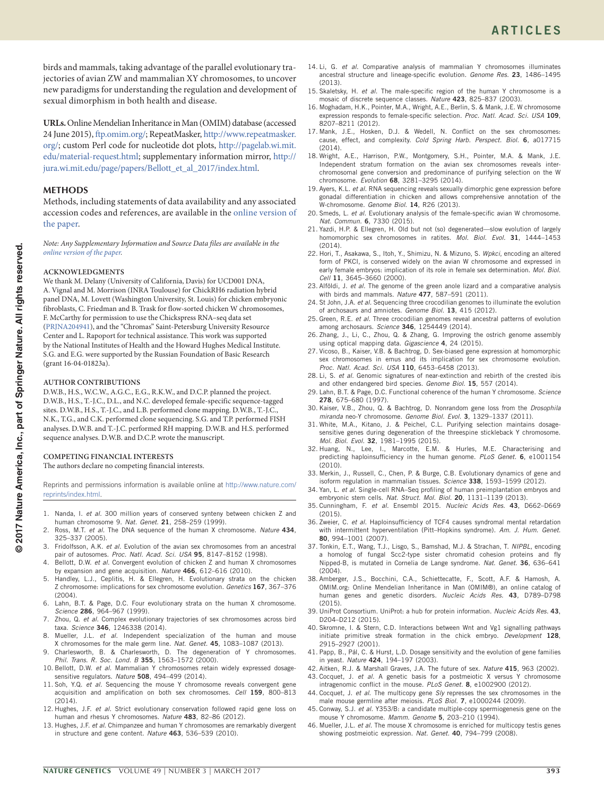birds and mammals, taking advantage of the parallel evolutionary trajectories of avian ZW and mammalian XY chromosomes, to uncover new paradigms for understanding the regulation and development of sexual dimorphism in both health and disease.

**URLs.** Online Mendelian Inheritance in Man (OMIM) database (accessed 24 June 2015),<ftp.omim.org/>; RepeatMasker, [http://www.repeatmasker.](http://www.repeatmasker.org/) [org/](http://www.repeatmasker.org/); custom Perl code for nucleotide dot plots, [http://pagelab.wi.mit.](http://pagelab.wi.mit.edu/material-request.html) [edu/material-request.html](http://pagelab.wi.mit.edu/material-request.html); supplementary information mirror, [http://](http://jura.wi.mit.edu/page/papers/Bellott_et_al_2017/index.html) [jura.wi.mit.edu/page/papers/Bellott\\_et\\_al\\_2017/index.html.](http://jura.wi.mit.edu/page/papers/Bellott_et_al_2017/index.html)

# **Methods**

Methods, including statements of data availability and any associated accession codes and references, are available in the [online version of](http://dx.doi.org/10.1038/ng.3778) [the paper.](http://dx.doi.org/10.1038/ng.3778)

*Note: Any Supplementary Information and Source Data files are available in the [online version of the paper.](http://dx.doi.org/10.1038/ng.3778)*

#### **Acknowledgments**

We thank M. Delany (University of California, Davis) for UCD001 DNA, A. Vignal and M. Morrison (INRA Toulouse) for ChickRH6 radiation hybrid panel DNA, M. Lovett (Washington University, St. Louis) for chicken embryonic fibroblasts, C. Friedman and B. Trask for flow-sorted chicken W chromosomes, F. McCarthy for permission to use the Chickspress RNA–seq data set [\(PRJNA204941\)](https://www.ncbi.nlm.nih.gov/bioproject/?term=PRJNA204941), and the "Chromas" Saint-Petersburg University Resource Center and L. Rapoport for technical assistance. This work was supported by the National Institutes of Health and the Howard Hughes Medical Institute. S.G. and E.G. were supported by the Russian Foundation of Basic Research (grant 16-04-01823a).

#### **AUTHOR CONTRIBUTIONS**

D.W.B., H.S., W.C.W., A.G.C., E.G., R.K.W., and D.C.P. planned the project. D.W.B., H.S., T.-J.C., D.L., and N.C. developed female-specific sequence-tagged sites. D.W.B., H.S., T.-J.C., and L.B. performed clone mapping. D.W.B., T.-J.C., N.K., T.G., and C.K. performed clone sequencing. S.G. and T.P. performed FISH analyses. D.W.B. and T.-J.C. performed RH mapping. D.W.B. and H.S. performed sequence analyses. D.W.B. and D.C.P. wrote the manuscript.

#### **COMPETING FINANCIAL INTERESTS**

The authors declare no competing financial interests.

Reprints and permissions information is available online at [http://www.nature.com/](http://www.nature.com/reprints/index.html) [reprints/index.html](http://www.nature.com/reprints/index.html).

- <span id="page-6-0"></span>1. Nanda, I. *et al.* 300 million years of conserved synteny between chicken Z and human chromosome 9. *Nat. Genet.* 21, 258–259 (1999).
- 2. Ross, M.T. *et al.* The DNA sequence of the human X chromosome. *Nature* 434, 325–337 (2005).
- <span id="page-6-1"></span>3. Fridolfsson, A.K. *et al.* Evolution of the avian sex chromosomes from an ancestral pair of autosomes. *Proc. Natl. Acad. Sci. USA* 95, 8147–8152 (1998).
- <span id="page-6-2"></span>4. Bellott, D.W. *et al.* Convergent evolution of chicken Z and human X chromosomes by expansion and gene acquisition. *Nature* 466, 612–616 (2010).
- <span id="page-6-3"></span>Handley, L.J., Ceplitis, H. & Ellegren, H. Evolutionary strata on the chicken Z chromosome: implications for sex chromosome evolution. *Genetics* 167, 367–376 (2004).
- <span id="page-6-25"></span>6. Lahn, B.T. & Page, D.C. Four evolutionary strata on the human X chromosome. *Science* 286, 964–967 (1999).
- <span id="page-6-4"></span>7. Zhou, Q. *et al.* Complex evolutionary trajectories of sex chromosomes across bird taxa. *Science* 346, 1246338 (2014).
- <span id="page-6-5"></span>8. Mueller, J.L. *et al.* Independent specialization of the human and mouse X chromosomes for the male germ line. *Nat. Genet.* 45, 1083–1087 (2013).
- <span id="page-6-6"></span>9. Charlesworth, B. & Charlesworth, D. The degeneration of Y chromosomes. *Phil. Trans. R. Soc. Lond. B* 355, 1563–1572 (2000).
- <span id="page-6-7"></span>10. Bellott, D.W. *et al.* Mammalian Y chromosomes retain widely expressed dosagesensitive regulators. *Nature* 508, 494–499 (2014).
- <span id="page-6-8"></span>11. Soh, Y.Q. *et al.* Sequencing the mouse Y chromosome reveals convergent gene acquisition and amplification on both sex chromosomes. *Cell* 159, 800–813 (2014).
- 12. Hughes, J.F. *et al.* Strict evolutionary conservation followed rapid gene loss on human and rhesus Y chromosomes. *Nature* 483, 82–86 (2012).
- <span id="page-6-10"></span>13. Hughes, J.F. *et al.* Chimpanzee and human Y chromosomes are remarkably divergent in structure and gene content. *Nature* 463, 536–539 (2010).
- 14. Li, G. *et al.* Comparative analysis of mammalian Y chromosomes illuminates ancestral structure and lineage-specific evolution. *Genome Res.* 23, 1486–1495 (2013).
- <span id="page-6-9"></span>15. Skaletsky, H. *et al.* The male-specific region of the human Y chromosome is a mosaic of discrete sequence classes. *Nature* 423, 825–837 (2003).
- <span id="page-6-11"></span>16. Moghadam, H.K., Pointer, M.A., Wright, A.E., Berlin, S. & Mank, J.E. W chromosome expression responds to female-specific selection. *Proc. Natl. Acad. Sci. USA* 109, 8207–8211 (2012).
- <span id="page-6-12"></span>17. Mank, J.E., Hosken, D.J. & Wedell, N. Conflict on the sex chromosomes: cause, effect, and complexity. *Cold Spring Harb. Perspect. Biol.* 6, a017715 (2014).
- <span id="page-6-13"></span>18. Wright, A.E., Harrison, P.W., Montgomery, S.H., Pointer, M.A. & Mank, J.E. Independent stratum formation on the avian sex chromosomes reveals interchromosomal gene conversion and predominance of purifying selection on the W chromosome. *Evolution* 68, 3281–3295 (2014).
- <span id="page-6-14"></span>19. Ayers, K.L. *et al.* RNA sequencing reveals sexually dimorphic gene expression before gonadal differentiation in chicken and allows comprehensive annotation of the W-chromosome. *Genome Biol.* 14, R26 (2013).
- <span id="page-6-15"></span>20. Smeds, L. *et al.* Evolutionary analysis of the female-specific avian W chromosome. *Nat. Commun.* 6, 7330 (2015).
- <span id="page-6-16"></span>21. Yazdi, H.P. & Ellegren, H. Old but not (so) degenerated—slow evolution of largely homomorphic sex chromosomes in ratites. *Mol. Biol. Evol.* 31, 1444–1453 (2014).
- <span id="page-6-17"></span>22. Hori, T., Asakawa, S., Itoh, Y., Shimizu, N. & Mizuno, S. *Wpkci*, encoding an altered form of PKCI, is conserved widely on the avian W chromosome and expressed in early female embryos: implication of its role in female sex determination. *Mol. Biol. Cell* 11, 3645–3660 (2000).
- <span id="page-6-18"></span>23. Alföldi, J. *et al.* The genome of the green anole lizard and a comparative analysis with birds and mammals. *Nature* 477, 587–591 (2011).
- <span id="page-6-19"></span>24. St John, J.A. *et al.* Sequencing three crocodilian genomes to illuminate the evolution of archosaurs and amniotes. *Genome Biol.* 13, 415 (2012).
- <span id="page-6-20"></span>25. Green, R.E. *et al.* Three crocodilian genomes reveal ancestral patterns of evolution among archosaurs. *Science* 346, 1254449 (2014).
- <span id="page-6-21"></span>26. Zhang, J., Li, C., Zhou, Q. & Zhang, G. Improving the ostrich genome assembly using optical mapping data. *Gigascience* 4, 24 (2015).
- <span id="page-6-22"></span>27. Vicoso, B., Kaiser, V.B. & Bachtrog, D. Sex-biased gene expression at homomorphic sex chromosomes in emus and its implication for sex chromosome evolution. *Proc. Natl. Acad. Sci. USA* 110, 6453–6458 (2013).
- <span id="page-6-23"></span>28. Li, S. *et al.* Genomic signatures of near-extinction and rebirth of the crested ibis and other endangered bird species. *Genome Biol.* 15, 557 (2014).
- <span id="page-6-24"></span>29. Lahn, B.T. & Page, D.C. Functional coherence of the human Y chromosome. *Science* 278, 675–680 (1997).
- <span id="page-6-36"></span>30. Kaiser, V.B., Zhou, Q. & Bachtrog, D. Nonrandom gene loss from the *Drosophila miranda* neo-Y chromosome. *Genome Biol. Evol.* 3, 1329–1337 (2011).
- <span id="page-6-26"></span>31. White, M.A., Kitano, J. & Peichel, C.L. Purifying selection maintains dosagesensitive genes during degeneration of the threespine stickleback Y chromosome. *Mol. Biol. Evol.* 32, 1981–1995 (2015).
- <span id="page-6-27"></span>32. Huang, N., Lee, I., Marcotte, E.M. & Hurles, M.E. Characterising and predicting haploinsufficiency in the human genome. *PLoS Genet.* 6, e1001154 (2010).
- <span id="page-6-28"></span>33. Merkin, J., Russell, C., Chen, P. & Burge, C.B. Evolutionary dynamics of gene and isoform regulation in mammalian tissues. *Science* 338, 1593–1599 (2012).
- <span id="page-6-29"></span>34. Yan, L. *et al.* Single-cell RNA–Seq profiling of human preimplantation embryos and embryonic stem cells. *Nat. Struct. Mol. Biol.* 20, 1131–1139 (2013).
- <span id="page-6-30"></span>35. Cunningham, F. *et al.* Ensembl 2015. *Nucleic Acids Res.* 43, D662–D669  $(2015)$
- <span id="page-6-31"></span>36. Zweier, C. *et al.* Haploinsufficiency of TCF4 causes syndromal mental retardation with intermittent hyperventilation (Pitt–Hopkins syndrome). *Am. J. Hum. Genet.* 80, 994–1001 (2007).
- <span id="page-6-32"></span>37. Tonkin, E.T., Wang, T.J., Lisgo, S., Bamshad, M.J. & Strachan, T. *NIPBL*, encoding a homolog of fungal Scc2-type sister chromatid cohesion proteins and fly Nipped-B, is mutated in Cornelia de Lange syndrome. *Nat. Genet.* 36, 636–641  $(2004)$ .
- <span id="page-6-33"></span>38. Amberger, J.S., Bocchini, C.A., Schiettecatte, F., Scott, A.F. & Hamosh, A. OMIM.org: Online Mendelian Inheritance in Man (OMIM®), an online catalog of human genes and genetic disorders. *Nucleic Acids Res.* 43, D789–D798 (2015).
- <span id="page-6-34"></span>39. UniProt Consortium. UniProt: a hub for protein information. *Nucleic Acids Res.* 43, D204–D212 (2015).
- <span id="page-6-35"></span>40. Skromne, I. & Stern, C.D. Interactions between Wnt and Vg1 signalling pathways initiate primitive streak formation in the chick embryo. *Development* 128, 2915–2927 (2001).
- <span id="page-6-37"></span>41. Papp, B., Pál, C. & Hurst, L.D. Dosage sensitivity and the evolution of gene families in yeast. *Nature* 424, 194–197 (2003).
- <span id="page-6-38"></span>42. Aitken, R.J. & Marshall Graves, J.A. The future of sex. *Nature* 415, 963 (2002). 43. Cocquet, J. *et al.* A genetic basis for a postmeiotic X versus Y chromosome
- <span id="page-6-39"></span>intragenomic conflict in the mouse. *PLoS Genet.* 8, e1002900 (2012). 44. Cocquet, J. *et al.* The multicopy gene *Sly* represses the sex chromosomes in the
- <span id="page-6-40"></span>male mouse germline after meiosis. *PLoS Biol.* 7, e1000244 (2009). 45. Conway, S.J. *et al.* Y353/B: a candidate multiple-copy spermiogenesis gene on the
- <span id="page-6-41"></span>mouse Y chromosome. *Mamm. Genome* 5, 203–210 (1994). 46. Mueller, J.L. *et al.* The mouse X chromosome is enriched for multicopy testis genes showing postmeiotic expression. *Nat. Genet.* 40, 794–799 (2008).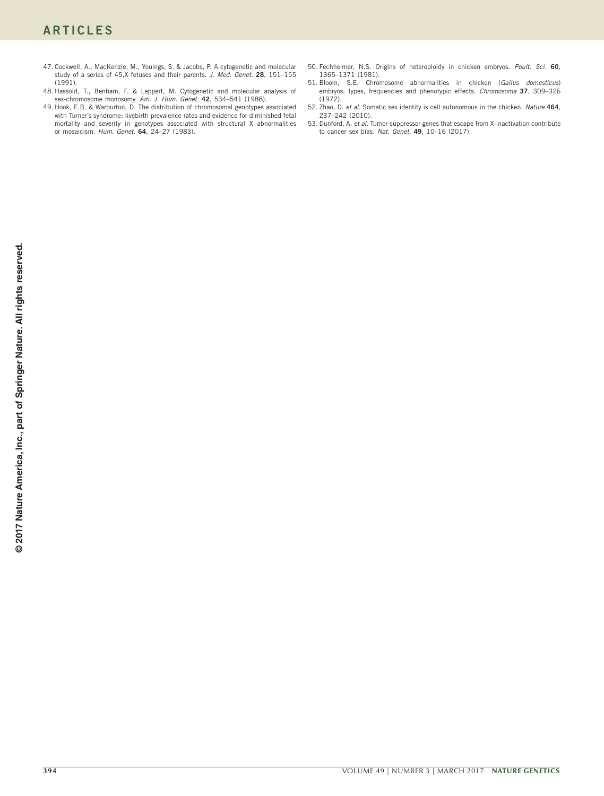# **ARTICLES**

- <span id="page-7-0"></span>47. Cockwell, A., MacKenzie, M., Youings, S. & Jacobs, P. A cytogenetic and molecular study of a series of 45,X fetuses and their parents. *J. Med. Genet.* 28, 151–155  $(1991)$ .
- 48. Hassold, T., Benham, F. & Leppert, M. Cytogenetic and molecular analysis of sex-chromosome monosomy. *Am. J. Hum. Genet.* 42, 534–541 (1988).
- <span id="page-7-1"></span>49. Hook, E.B. & Warburton, D. The distribution of chromosomal genotypes associated with Turner's syndrome: livebirth prevalence rates and evidence for diminished fetal mortality and severity in genotypes associated with structural X abnormalities or mosaicism. *Hum. Genet.* 64, 24–27 (1983).
- <span id="page-7-2"></span>50. Fechheimer, N.S. Origins of heteroploidy in chicken embryos. *Poult. Sci.* 60, 1365–1371 (1981).
- <span id="page-7-3"></span>51. Bloom, S.E. Chromosome abnormalities in chicken (*Gallus domesticus*) embryos: types, frequencies and phenotypic effects. *Chromosoma* 37, 309–326  $(1972)$ .
- <span id="page-7-4"></span>52. Zhao, D. *et al.* Somatic sex identity is cell autonomous in the chicken. *Nature* 464, 237–242 (2010).
- <span id="page-7-5"></span>53. Dunford, A. *et al.* Tumor-suppressor genes that escape from X-inactivation contribute to cancer sex bias. *Nat. Genet.* 49, 10–16 (2017).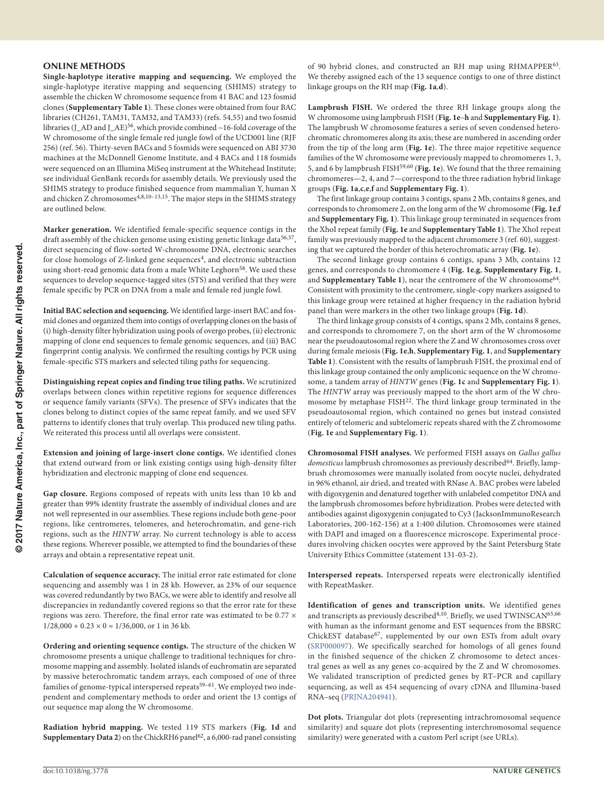# **ONLINE METHODS**

**Single-haplotype iterative mapping and sequencing.** We employed the single-haplotype iterative mapping and sequencing (SHIMS) strategy to assemble the chicken W chromosome sequence from 41 BAC and 123 fosmid clones (**Supplementary Table 1**). These clones were obtained from four BAC libraries (CH261, TAM31, TAM32, and TAM33) (refs. [54,](#page-9-0)[55\)](#page-9-1) and two fosmid libraries (J\_AD and J\_AE)<sup>[56](#page-9-2)</sup>, which provide combined ~16-fold coverage of the W chromosome of the single female red jungle fowl of the UCD001 line (RJF 256) (ref. [56\)](#page-9-2). Thirty-seven BACs and 5 fosmids were sequenced on ABI 3730 machines at the McDonnell Genome Institute, and 4 BACs and 118 fosmids were sequenced on an Illumina MiSeq instrument at the Whitehead Institute; see individual GenBank records for assembly details. We previously used the SHIMS strategy to produce finished sequence from mammalian Y, human X and chicken Z chromosomes<sup>[4,](#page-6-2)[8,](#page-6-5)10-[13,](#page-6-10)[15](#page-6-9)</sup>. The major steps in the SHIMS strategy are outlined below.

**Marker generation.** We identified female-specific sequence contigs in the draft assembly of the chicken genome using existing genetic linkage data<sup>[56,](#page-9-2)57</sup>, direct sequencing of flow-sorted W-chromosome DNA, electronic searches for close homologs of Z-linked gene sequences<sup>[4](#page-6-2)</sup>, and electronic subtraction using short-read genomic data from a male White Leghorn<sup>[58](#page-9-4)</sup>. We used these sequences to develop sequence-tagged sites (STS) and verified that they were female specific by PCR on DNA from a male and female red jungle fowl.

**Initial BAC selection and sequencing.** We identified large-insert BAC and fosmid clones and organized them into contigs of overlapping clones on the basis of (i) high-density filter hybridization using pools of overgo probes, (ii) electronic mapping of clone end sequences to female genomic sequences, and (iii) BAC fingerprint contig analysis. We confirmed the resulting contigs by PCR using female-specific STS markers and selected tiling paths for sequencing.

**Distinguishing repeat copies and finding true tiling paths.** We scrutinized overlaps between clones within repetitive regions for sequence differences or sequence family variants (SFVs). The presence of SFVs indicates that the clones belong to distinct copies of the same repeat family, and we used SFV patterns to identify clones that truly overlap. This produced new tiling paths. We reiterated this process until all overlaps were consistent.

**Extension and joining of large-insert clone contigs.** We identified clones that extend outward from or link existing contigs using high-density filter hybridization and electronic mapping of clone end sequences.

**Gap closure.** Regions composed of repeats with units less than 10 kb and greater than 99% identity frustrate the assembly of individual clones and are not well represented in our assemblies. These regions include both gene-poor regions, like centromeres, telomeres, and heterochromatin, and gene-rich regions, such as the *HINTW* array. No current technology is able to access these regions. Wherever possible, we attempted to find the boundaries of these arrays and obtain a representative repeat unit.

**Calculation of sequence accuracy.** The initial error rate estimated for clone sequencing and assembly was 1 in 28 kb. However, as 23% of our sequence was covered redundantly by two BACs, we were able to identify and resolve all discrepancies in redundantly covered regions so that the error rate for these regions was zero. Therefore, the final error rate was estimated to be 0.77  $\times$  $1/28,000 + 0.23 \times 0 \approx 1/36,000$ , or 1 in 36 kb.

**Ordering and orienting sequence contigs.** The structure of the chicken W chromosome presents a unique challenge to traditional techniques for chromosome mapping and assembly. Isolated islands of euchromatin are separated by massive heterochromatic tandem arrays, each composed of one of three families of genome-typical interspersed repeats<sup>59-61</sup>. We employed two independent and complementary methods to order and orient the 13 contigs of our sequence map along the W chromosome.

**Radiation hybrid mapping.** We tested 119 STS markers (**[Fig. 1d](#page-1-0)** and **Supplementary Data 2**) on the ChickRH6 panel<sup>62</sup>, a 6,000-rad panel consisting

of 90 hybrid clones, and constructed an RH map using RHMAPPER[63.](#page-10-2) We thereby assigned each of the 13 sequence contigs to one of three distinct linkage groups on the RH map (**[Fig. 1a](#page-1-0)**,**d**).

**Lampbrush FISH.** We ordered the three RH linkage groups along the W chromosome using lampbrush FISH (**[Fig. 1e](#page-1-0)**–**h** and **Supplementary Fig. 1**). The lampbrush W chromosome features a series of seven condensed heterochromatic chromomeres along its axis; these are numbered in ascending order from the tip of the long arm (**[Fig. 1e](#page-1-0)**). The three major repetitive sequence families of the W chromosome were previously mapped to chromomeres 1, 3, 5, and 6 by lampbrush FISH[59,](#page-9-5)[60](#page-9-6) (**[Fig. 1e](#page-1-0)**). We found that the three remaining chromomeres—2, 4, and 7—correspond to the three radiation hybrid linkage groups (**[Fig. 1a](#page-1-0)**,**c**,**e**,**f** and **Supplementary Fig. 1**).

The first linkage group contains 3 contigs, spans 2 Mb, contains 8 genes, and corresponds to chromomere 2, on the long arm of the W chromosome (**[Fig. 1e](#page-1-0)**,**f** and **Supplementary Fig. 1**). This linkage group terminated in sequences from the XhoI repeat family (**[Fig. 1e](#page-1-0)** and **Supplementary Table 1**). The XhoI repeat family was previously mapped to the adjacent chromomere 3 (ref. [60](#page-9-6)), suggesting that we captured the border of this heterochromatic array (**[Fig. 1e](#page-1-0)**).

The second linkage group contains 6 contigs, spans 3 Mb, contains 12 genes, and corresponds to chromomere 4 (**[Fig. 1e](#page-1-0)**,**g**, **Supplementary Fig. 1**, and **Supplementary Table 1**), near the centromere of the W chromosome<sup>64</sup>. Consistent with proximity to the centromere, single-copy markers assigned to this linkage group were retained at higher frequency in the radiation hybrid panel than were markers in the other two linkage groups (**[Fig. 1d](#page-1-0)**).

The third linkage group consists of 4 contigs, spans 2 Mb, contains 8 genes, and corresponds to chromomere 7, on the short arm of the W chromosome near the pseudoautosomal region where the Z and W chromosomes cross over during female meiosis (**[Fig. 1e](#page-1-0)**,**h**, **Supplementary Fig. 1**, and **Supplementary Table 1**). Consistent with the results of lampbrush FISH, the proximal end of this linkage group contained the only ampliconic sequence on the W chromosome, a tandem array of *HINTW* genes (**[Fig. 1c](#page-1-0)** and **Supplementary Fig. 1**). The *HINTW* array was previously mapped to the short arm of the W chromosome by metaphase FISH<sup>22</sup>. The third linkage group terminated in the pseudoautosomal region, which contained no genes but instead consisted entirely of telomeric and subtelomeric repeats shared with the Z chromosome (**[Fig. 1e](#page-1-0)** and **Supplementary Fig. 1**).

**Chromosomal FISH analyses.** We performed FISH assays on *Gallus gallus*  domesticus lampbrush chromosomes as previously described<sup>[64](#page-10-3)</sup>. Briefly, lampbrush chromosomes were manually isolated from oocyte nuclei, dehydrated in 96% ethanol, air dried, and treated with RNase A. BAC probes were labeled with digoxygenin and denatured together with unlabeled competitor DNA and the lampbrush chromosomes before hybridization. Probes were detected with antibodies against digoxygenin conjugated to Cy3 (JacksonImmunoResearch Laboratories, 200-162-156) at a 1:400 dilution. Chromosomes were stained with DAPI and imaged on a fluorescence microscope. Experimental procedures involving chicken oocytes were approved by the Saint Petersburg State University Ethics Committee (statement 131-03-2).

**Interspersed repeats.** Interspersed repeats were electronically identified with RepeatMasker.

**Identification of genes and transcription units.** We identified genes and transcripts as previously described<sup>[4,](#page-6-2)[10](#page-6-7)</sup>. Briefly, we used TWINSCAN<sup>65,[66](#page-10-5)</sup> with human as the informant genome and EST sequences from the BBSRC ChickEST database<sup>[67](#page-10-6)</sup>, supplemented by our own ESTs from adult ovary ([SRP000097](https://www.ncbi.nlm.nih.gov/sra/?term=SRP000097)). We specifically searched for homologs of all genes found in the finished sequence of the chicken Z chromosome to detect ancestral genes as well as any genes co-acquired by the Z and W chromosomes. We validated transcription of predicted genes by RT–PCR and capillary sequencing, as well as 454 sequencing of ovary cDNA and Illumina-based RNA–seq [\(PRJNA204941\)](https://www.ncbi.nlm.nih.gov/bioproject/?term=PRJNA204941).

**Dot plots.** Triangular dot plots (representing intrachromosomal sequence similarity) and square dot plots (representing interchromosomal sequence similarity) were generated with a custom Perl script (see URLs).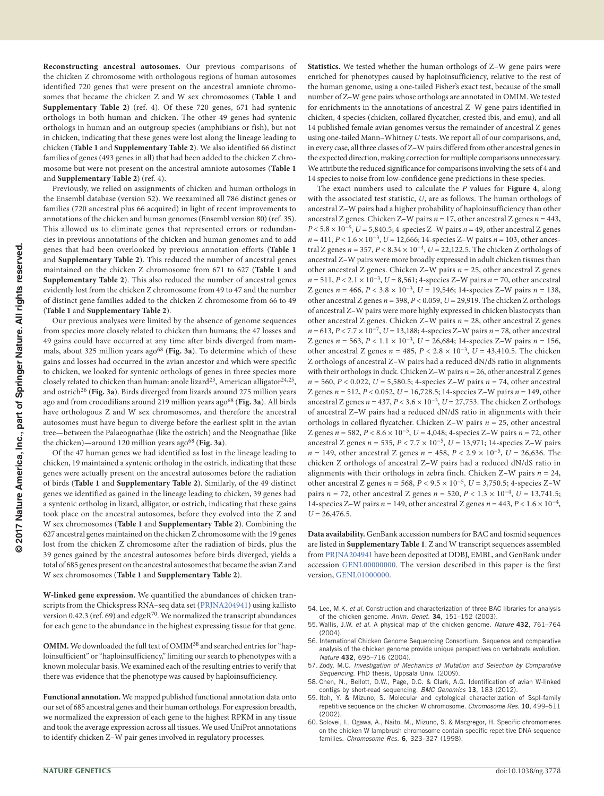**Reconstructing ancestral autosomes.** Our previous comparisons of the chicken Z chromosome with orthologous regions of human autosomes identified 720 genes that were present on the ancestral amniote chromosomes that became the chicken Z and W sex chromosomes (**[Table 1](#page-2-1)** and **Supplementary Table 2**) (ref. [4](#page-6-2)). Of these 720 genes, 671 had syntenic orthologs in both human and chicken. The other 49 genes had syntenic orthologs in human and an outgroup species (amphibians or fish), but not in chicken, indicating that these genes were lost along the lineage leading to chicken (**[Table 1](#page-2-1)** and **Supplementary Table 2**). We also identified 66 distinct families of genes (493 genes in all) that had been added to the chicken Z chromosome but were not present on the ancestral amniote autosomes (**[Table 1](#page-2-1)** and **Supplementary Table 2**) (ref. [4\)](#page-6-2).

Previously, we relied on assignments of chicken and human orthologs in the Ensembl database (version 52). We reexamined all 786 distinct genes or families (720 ancestral plus 66 acquired) in light of recent improvements to annotations of the chicken and human genomes (Ensembl version 80) (ref. [35\)](#page-6-30). This allowed us to eliminate genes that represented errors or redundancies in previous annotations of the chicken and human genomes and to add genes that had been overlooked by previous annotation efforts (**[Table 1](#page-2-1)** and **Supplementary Table 2**). This reduced the number of ancestral genes maintained on the chicken Z chromosome from 671 to 627 (**[Table 1](#page-2-1)** and **Supplementary Table 2**). This also reduced the number of ancestral genes evidently lost from the chicken Z chromosome from 49 to 47 and the number of distinct gene families added to the chicken Z chromosome from 66 to 49 (**[Table 1](#page-2-1)** and **Supplementary Table 2**).

Our previous analyses were limited by the absence of genome sequences from species more closely related to chicken than humans; the 47 losses and 49 gains could have occurred at any time after birds diverged from mammals, about 325 million years ago[68](#page-10-7) (**[Fig. 3a](#page-2-2)**). To determine which of these gains and losses had occurred in the avian ancestor and which were specific to chicken, we looked for syntenic orthologs of genes in three species more closely related to chicken than human: anole lizard<sup>23</sup>, American alligator<sup>24,25</sup>, and ostrich<sup>[26](#page-6-21)</sup> ([Fig. 3a](#page-2-2)). Birds diverged from lizards around 275 million years ago and from crocodilians around 219 million years ago<sup>68</sup> ([Fig. 3a](#page-2-2)). All birds have orthologous Z and W sex chromosomes, and therefore the ancestral autosomes must have begun to diverge before the earliest split in the avian tree—between the Palaeognathae (like the ostrich) and the Neognathae (like the chicken)—around 120 million years ago[68](#page-10-7) (**[Fig. 3a](#page-2-2)**).

Of the 47 human genes we had identified as lost in the lineage leading to chicken, 19 maintained a syntenic ortholog in the ostrich, indicating that these genes were actually present on the ancestral autosomes before the radiation of birds (**[Table 1](#page-2-1)** and **Supplementary Table 2**). Similarly, of the 49 distinct genes we identified as gained in the lineage leading to chicken, 39 genes had a syntenic ortholog in lizard, alligator, or ostrich, indicating that these gains took place on the ancestral autosomes, before they evolved into the Z and W sex chromosomes (**[Table 1](#page-2-1)** and **Supplementary Table 2**). Combining the 627 ancestral genes maintained on the chicken Z chromosome with the 19 genes lost from the chicken Z chromosome after the radiation of birds, plus the 39 genes gained by the ancestral autosomes before birds diverged, yields a total of 685 genes present on the ancestral autosomes that became the avian Z and W sex chromosomes (**[Table 1](#page-2-1)** and **Supplementary Table 2**).

**W-linked gene expression.** We quantified the abundances of chicken transcripts from the Chickspress RNA–seq data set ([PRJNA204941](https://www.ncbi.nlm.nih.gov/bioproject/?term=PRJNA204941)) using kallisto version 0.42.3 (ref. [69](#page-10-8)) and edge $R^{70}$ . We normalized the transcript abundances for each gene to the abundance in the highest expressing tissue for that gene.

**OMIM.** We downloaded the full text of OMIM<sup>38</sup> and searched entries for "haploinsufficient" or "haploinsufficiency," limiting our search to phenotypes with a known molecular basis. We examined each of the resulting entries to verify that there was evidence that the phenotype was caused by haploinsufficiency.

**Functional annotation.** We mapped published functional annotation data onto our set of 685 ancestral genes and their human orthologs. For expression breadth, we normalized the expression of each gene to the highest RPKM in any tissue and took the average expression across all tissues. We used UniProt annotations to identify chicken Z–W pair genes involved in regulatory processes.

**Statistics.** We tested whether the human orthologs of Z–W gene pairs were enriched for phenotypes caused by haploinsufficiency, relative to the rest of the human genome, using a one-tailed Fisher's exact test, because of the small number of Z–W gene pairs whose orthologs are annotated in OMIM. We tested for enrichments in the annotations of ancestral Z–W gene pairs identified in chicken, 4 species (chicken, collared flycatcher, crested ibis, and emu), and all 14 published female avian genomes versus the remainder of ancestral Z genes using one-tailed Mann–Whitney *U* tests. We report all of our comparisons, and, in every case, all three classes of Z–W pairs differed from other ancestral genes in the expected direction, making correction for multiple comparisons unnecessary. We attribute the reduced significance for comparisons involving the sets of 4 and 14 species to noise from low-confidence gene predictions in these species.

The exact numbers used to calculate the *P* values for **[Figure 4](#page-3-0)**, along with the associated test statistic, *U*, are as follows. The human orthologs of ancestral Z–W pairs had a higher probability of haploinsufficiency than other ancestral Z genes. Chicken Z–W pairs *n* = 17, other ancestral Z genes *n* = 443, *P* < 5.8 × 10<sup>-5</sup>, *U* = 5,840.5; 4-species Z–W pairs *n* = 49, other ancestral Z genes *n* = 411, *P* < 1.6 × 10<sup>-3</sup>, *U* = 12,666; 14-species Z–W pairs *n* = 103, other ancestral Z genes *n* = 357, *P* < 8.34 × 10−4, *U* = 22,122.5. The chicken Z orthologs of ancestral Z–W pairs were more broadly expressed in adult chicken tissues than other ancestral Z genes. Chicken Z–W pairs *n* = 25, other ancestral Z genes *n* = 511, *P* < 2.1 × 10<sup>-3</sup>, *U* = 8,561; 4-species Z–W pairs *n* = 70, other ancestral Z genes *n* = 466, *P* < 3.8 × 10−3, *U* = 19,546; 14-species Z–W pairs *n* = 138, other ancestral Z genes *n* = 398, *P* < 0.059, *U* = 29,919. The chicken Z orthologs of ancestral Z–W pairs were more highly expressed in chicken blastocysts than other ancestral Z genes. Chicken Z–W pairs *n* = 28, other ancestral Z genes *n* = 613, *P* < 7.7 × 10<sup>-7</sup>, *U* = 13,188; 4-species Z–W pairs *n* = 78, other ancestral Z genes *n* = 563, *P* < 1.1 × 10−3, *U* = 26,684; 14-species Z–W pairs *n* = 156, other ancestral Z genes *n* = 485, *P* < 2.8 × 10−3, *U* = 43,410.5. The chicken Z orthologs of ancestral Z–W pairs had a reduced dN/dS ratio in alignments with their orthologs in duck. Chicken Z–W pairs *n* = 26, other ancestral Z genes *n* = 560, *P* < 0.022, *U* = 5,580.5; 4-species Z–W pairs *n* = 74, other ancestral Z genes *n* = 512, *P* < 0.052, *U* = 16,728.5; 14-species Z–W pairs *n* = 149, other ancestral Z genes *n* = 437, *P* < 3.6 × 10−3, *U* = 27,753. The chicken Z orthologs of ancestral Z–W pairs had a reduced dN/dS ratio in alignments with their orthologs in collared flycatcher. Chicken Z–W pairs *n* = 25, other ancestral Z genes *n* = 582, *P* < 8.6 × 10−5, *U* = 4,048; 4-species Z–W pairs *n* = 72, other ancestral Z genes *n* = 535, *P* < 7.7 × 10−5, *U* = 13,971; 14-species Z–W pairs *n* = 149, other ancestral *Z* genes *n* = 458, *P* < 2.9 × 10<sup>-5</sup>, *U* = 26,636. The chicken Z orthologs of ancestral Z–W pairs had a reduced dN/dS ratio in alignments with their orthologs in zebra finch. Chicken Z–W pairs *n* = 24, other ancestral Z genes *n* = 568, *P* < 9.5 × 10−5, *U* = 3,750.5; 4-species Z–W pairs *n* = 72, other ancestral Z genes *n* = 520, *P* < 1.3 × 10<sup>-4</sup>, *U* = 13,741.5; 14-species Z–W pairs *n* = 149, other ancestral Z genes *n* = 443, *P* < 1.6 × 10−4, *U* = 26,476.5.

**Data availability.** GenBank accession numbers for BAC and fosmid sequences are listed in **Supplementary Table 1**. Z and W transcript sequences assembled from [PRJNA204941](https://www.ncbi.nlm.nih.gov/bioproject/?term=PRJNA204941) have been deposited at DDBJ, EMBL, and GenBank under accession [GENL00000000](https://www.ncbi.nlm.nih.gov/nuccore/GENL00000000). The version described in this paper is the first version, [GENL01000000.](https://www.ncbi.nlm.nih.gov/nuccore/GENL01000000)

- <span id="page-9-0"></span>54. Lee, M.K. *et al.* Construction and characterization of three BAC libraries for analysis of the chicken genome. *Anim. Genet.* 34, 151–152 (2003).
- <span id="page-9-1"></span>55. Wallis, J.W. *et al.* A physical map of the chicken genome. *Nature* 432, 761–764  $(2004)$
- <span id="page-9-2"></span>56. International Chicken Genome Sequencing Consortium. Sequence and comparative analysis of the chicken genome provide unique perspectives on vertebrate evolution. *Nature* 432, 695–716 (2004).
- <span id="page-9-3"></span>57. Zody, M.C. *Investigation of Mechanics of Mutation and Selection by Comparative Sequencing*. PhD thesis, Uppsala Univ. (2009).
- <span id="page-9-4"></span>58. Chen, N., Bellott, D.W., Page, D.C. & Clark, A.G. Identification of avian W-linked contigs by short-read sequencing. *BMC Genomics* 13, 183 (2012).
- <span id="page-9-5"></span>59. Itoh, Y. & Mizuno, S. Molecular and cytological characterization of SspI-family repetitive sequence on the chicken W chromosome. *Chromosome Res.* 10, 499–511 (2002).
- <span id="page-9-6"></span>60. Solovei, I., Ogawa, A., Naito, M., Mizuno, S. & Macgregor, H. Specific chromomeres on the chicken W lampbrush chromosome contain specific repetitive DNA sequence families. *Chromosome Res.* 6, 323–327 (1998).